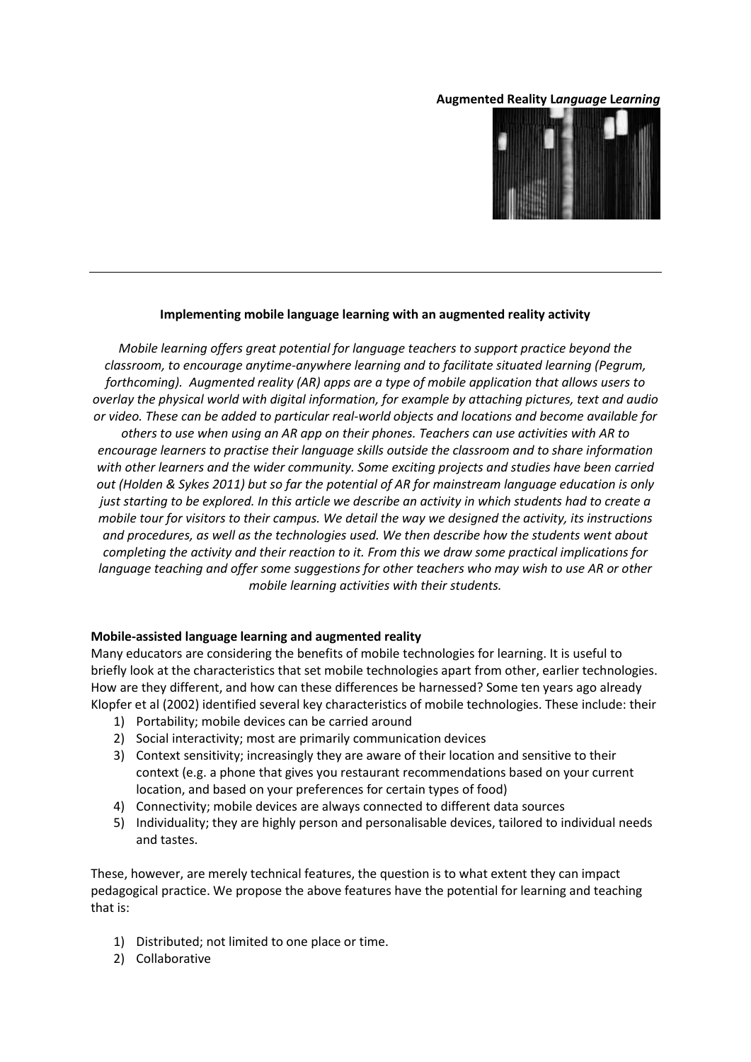### **Augmented Reality L***anguage* **L***earning*



# **Implementing mobile language learning with an augmented reality activity**

*Mobile learning offers great potential for language teachers to support practice beyond the classroom, to encourage anytime-anywhere learning and to facilitate situated learning (Pegrum, forthcoming). Augmented reality (AR) apps are a type of mobile application that allows users to overlay the physical world with digital information, for example by attaching pictures, text and audio or video. These can be added to particular real-world objects and locations and become available for others to use when using an AR app on their phones. Teachers can use activities with AR to encourage learners to practise their language skills outside the classroom and to share information with other learners and the wider community. Some exciting projects and studies have been carried out (Holden & Sykes 2011) but so far the potential of AR for mainstream language education is only just starting to be explored. In this article we describe an activity in which students had to create a mobile tour for visitors to their campus. We detail the way we designed the activity, its instructions and procedures, as well as the technologies used. We then describe how the students went about completing the activity and their reaction to it. From this we draw some practical implications for language teaching and offer some suggestions for other teachers who may wish to use AR or other mobile learning activities with their students.* 

#### **Mobile-assisted language learning and augmented reality**

Many educators are considering the benefits of mobile technologies for learning. It is useful to briefly look at the characteristics that set mobile technologies apart from other, earlier technologies. How are they different, and how can these differences be harnessed? Some ten years ago already Klopfer et al (2002) identified several key characteristics of mobile technologies. These include: their

- 1) Portability; mobile devices can be carried around
- 2) Social interactivity; most are primarily communication devices
- 3) Context sensitivity; increasingly they are aware of their location and sensitive to their context (e.g. a phone that gives you restaurant recommendations based on your current location, and based on your preferences for certain types of food)
- 4) Connectivity; mobile devices are always connected to different data sources
- 5) Individuality; they are highly person and personalisable devices, tailored to individual needs and tastes.

These, however, are merely technical features, the question is to what extent they can impact pedagogical practice. We propose the above features have the potential for learning and teaching that is:

- 1) Distributed; not limited to one place or time.
- 2) Collaborative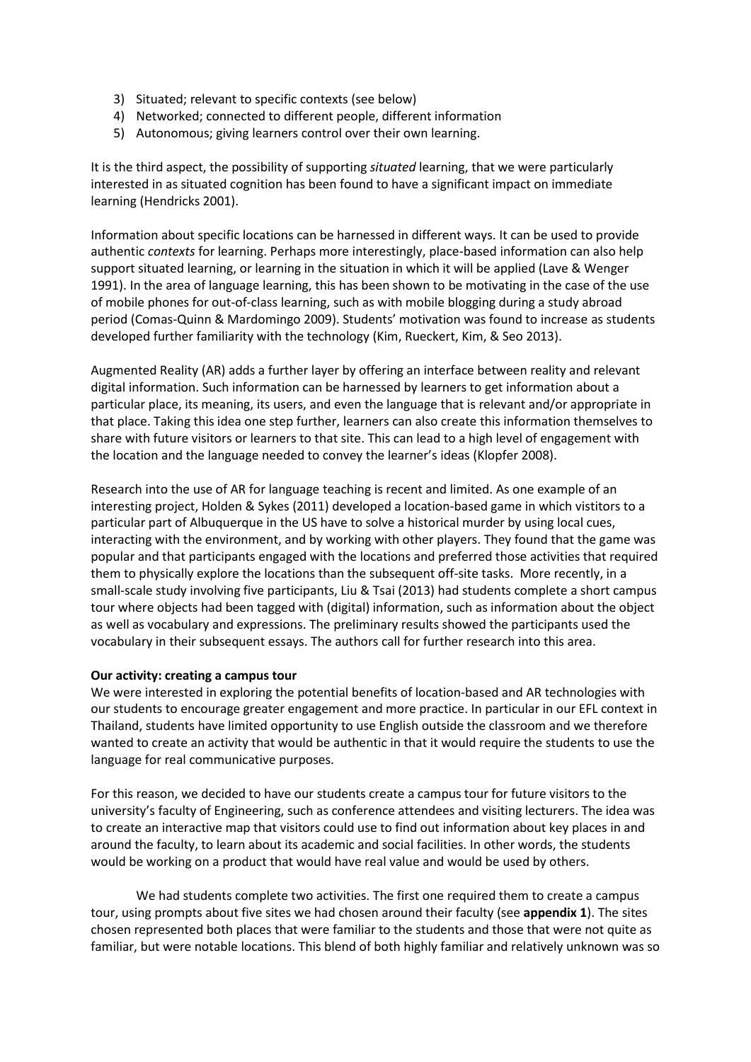- 3) Situated; relevant to specific contexts (see below)
- 4) Networked; connected to different people, different information
- 5) Autonomous; giving learners control over their own learning.

It is the third aspect, the possibility of supporting *situated* learning, that we were particularly interested in as situated cognition has been found to have a significant impact on immediate learning (Hendricks 2001).

Information about specific locations can be harnessed in different ways. It can be used to provide authentic *contexts* for learning. Perhaps more interestingly, place-based information can also help support situated learning, or learning in the situation in which it will be applied (Lave & Wenger 1991). In the area of language learning, this has been shown to be motivating in the case of the use of mobile phones for out-of-class learning, such as with mobile blogging during a study abroad period (Comas-Quinn & Mardomingo 2009). Students' motivation was found to increase as students developed further familiarity with the technology (Kim, Rueckert, Kim, & Seo 2013).

Augmented Reality (AR) adds a further layer by offering an interface between reality and relevant digital information. Such information can be harnessed by learners to get information about a particular place, its meaning, its users, and even the language that is relevant and/or appropriate in that place. Taking this idea one step further, learners can also create this information themselves to share with future visitors or learners to that site. This can lead to a high level of engagement with the location and the language needed to convey the learner's ideas (Klopfer 2008).

Research into the use of AR for language teaching is recent and limited. As one example of an interesting project, Holden & Sykes (2011) developed a location-based game in which vistitors to a particular part of Albuquerque in the US have to solve a historical murder by using local cues, interacting with the environment, and by working with other players. They found that the game was popular and that participants engaged with the locations and preferred those activities that required them to physically explore the locations than the subsequent off-site tasks. More recently, in a small-scale study involving five participants, Liu & Tsai (2013) had students complete a short campus tour where objects had been tagged with (digital) information, such as information about the object as well as vocabulary and expressions. The preliminary results showed the participants used the vocabulary in their subsequent essays. The authors call for further research into this area.

## **Our activity: creating a campus tour**

We were interested in exploring the potential benefits of location-based and AR technologies with our students to encourage greater engagement and more practice. In particular in our EFL context in Thailand, students have limited opportunity to use English outside the classroom and we therefore wanted to create an activity that would be authentic in that it would require the students to use the language for real communicative purposes.

For this reason, we decided to have our students create a campus tour for future visitors to the university's faculty of Engineering, such as conference attendees and visiting lecturers. The idea was to create an interactive map that visitors could use to find out information about key places in and around the faculty, to learn about its academic and social facilities. In other words, the students would be working on a product that would have real value and would be used by others.

We had students complete two activities. The first one required them to create a campus tour, using prompts about five sites we had chosen around their faculty (see **appendix 1**). The sites chosen represented both places that were familiar to the students and those that were not quite as familiar, but were notable locations. This blend of both highly familiar and relatively unknown was so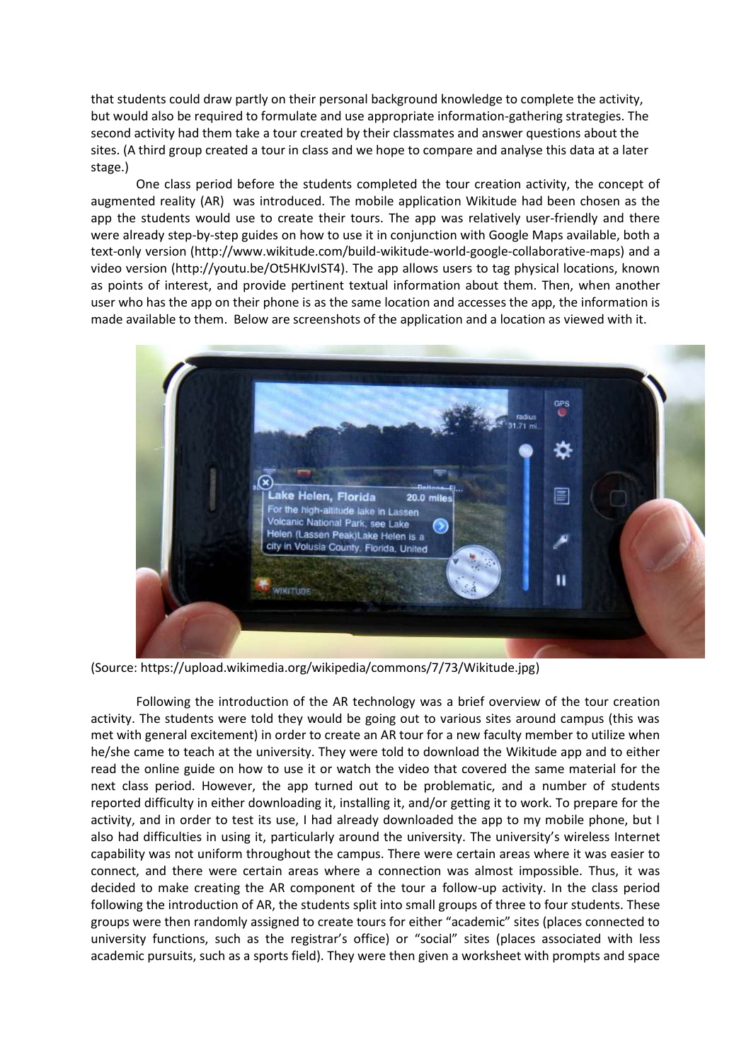that students could draw partly on their personal background knowledge to complete the activity, but would also be required to formulate and use appropriate information-gathering strategies. The second activity had them take a tour created by their classmates and answer questions about the sites. (A third group created a tour in class and we hope to compare and analyse this data at a later stage.)

One class period before the students completed the tour creation activity, the concept of augmented reality (AR) was introduced. The mobile application Wikitude had been chosen as the app the students would use to create their tours. The app was relatively user-friendly and there were already step-by-step guides on how to use it in conjunction with Google Maps available, both a text-only version (http://www.wikitude.com/build-wikitude-world-google-collaborative-maps) and a video version (http://youtu.be/Ot5HKJvIST4). The app allows users to tag physical locations, known as points of interest, and provide pertinent textual information about them. Then, when another user who has the app on their phone is as the same location and accesses the app, the information is made available to them. Below are screenshots of the application and a location as viewed with it.



(Source: https://upload.wikimedia.org/wikipedia/commons/7/73/Wikitude.jpg)

Following the introduction of the AR technology was a brief overview of the tour creation activity. The students were told they would be going out to various sites around campus (this was met with general excitement) in order to create an AR tour for a new faculty member to utilize when he/she came to teach at the university. They were told to download the Wikitude app and to either read the online guide on how to use it or watch the video that covered the same material for the next class period. However, the app turned out to be problematic, and a number of students reported difficulty in either downloading it, installing it, and/or getting it to work. To prepare for the activity, and in order to test its use, I had already downloaded the app to my mobile phone, but I also had difficulties in using it, particularly around the university. The university's wireless Internet capability was not uniform throughout the campus. There were certain areas where it was easier to connect, and there were certain areas where a connection was almost impossible. Thus, it was decided to make creating the AR component of the tour a follow-up activity. In the class period following the introduction of AR, the students split into small groups of three to four students. These groups were then randomly assigned to create tours for either "academic" sites (places connected to university functions, such as the registrar's office) or "social" sites (places associated with less academic pursuits, such as a sports field). They were then given a worksheet with prompts and space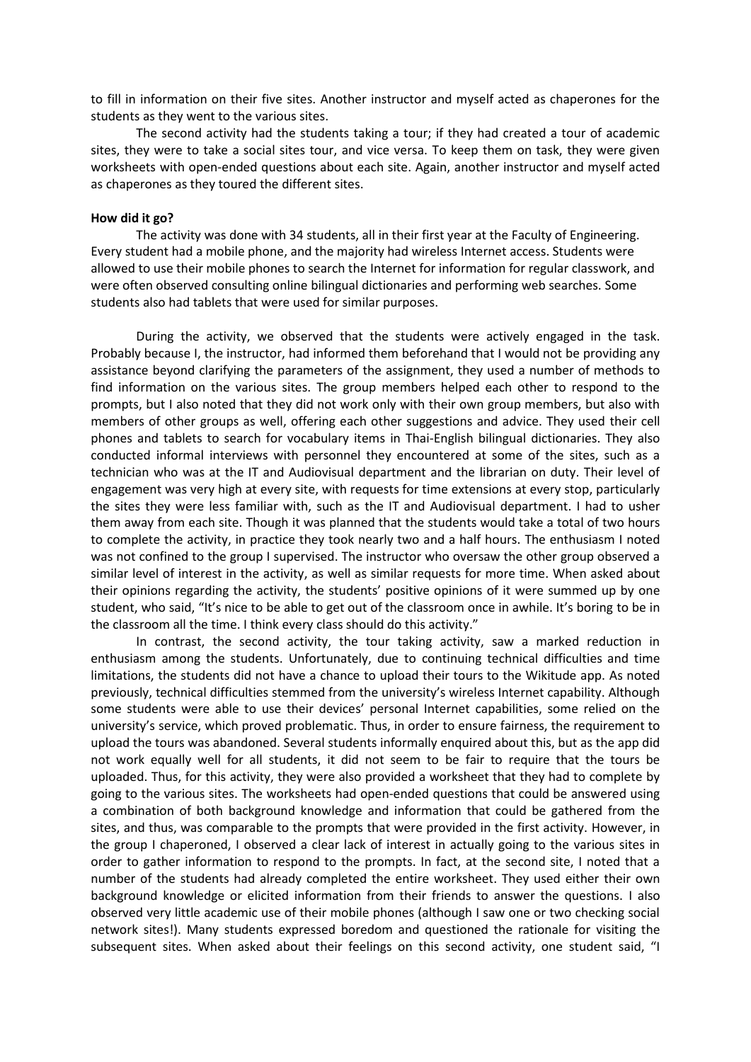to fill in information on their five sites. Another instructor and myself acted as chaperones for the students as they went to the various sites.

The second activity had the students taking a tour; if they had created a tour of academic sites, they were to take a social sites tour, and vice versa. To keep them on task, they were given worksheets with open-ended questions about each site. Again, another instructor and myself acted as chaperones as they toured the different sites.

#### **How did it go?**

The activity was done with 34 students, all in their first year at the Faculty of Engineering. Every student had a mobile phone, and the majority had wireless Internet access. Students were allowed to use their mobile phones to search the Internet for information for regular classwork, and were often observed consulting online bilingual dictionaries and performing web searches. Some students also had tablets that were used for similar purposes.

During the activity, we observed that the students were actively engaged in the task. Probably because I, the instructor, had informed them beforehand that I would not be providing any assistance beyond clarifying the parameters of the assignment, they used a number of methods to find information on the various sites. The group members helped each other to respond to the prompts, but I also noted that they did not work only with their own group members, but also with members of other groups as well, offering each other suggestions and advice. They used their cell phones and tablets to search for vocabulary items in Thai-English bilingual dictionaries. They also conducted informal interviews with personnel they encountered at some of the sites, such as a technician who was at the IT and Audiovisual department and the librarian on duty. Their level of engagement was very high at every site, with requests for time extensions at every stop, particularly the sites they were less familiar with, such as the IT and Audiovisual department. I had to usher them away from each site. Though it was planned that the students would take a total of two hours to complete the activity, in practice they took nearly two and a half hours. The enthusiasm I noted was not confined to the group I supervised. The instructor who oversaw the other group observed a similar level of interest in the activity, as well as similar requests for more time. When asked about their opinions regarding the activity, the students' positive opinions of it were summed up by one student, who said, "It's nice to be able to get out of the classroom once in awhile. It's boring to be in the classroom all the time. I think every class should do this activity."

In contrast, the second activity, the tour taking activity, saw a marked reduction in enthusiasm among the students. Unfortunately, due to continuing technical difficulties and time limitations, the students did not have a chance to upload their tours to the Wikitude app. As noted previously, technical difficulties stemmed from the university's wireless Internet capability. Although some students were able to use their devices' personal Internet capabilities, some relied on the university's service, which proved problematic. Thus, in order to ensure fairness, the requirement to upload the tours was abandoned. Several students informally enquired about this, but as the app did not work equally well for all students, it did not seem to be fair to require that the tours be uploaded. Thus, for this activity, they were also provided a worksheet that they had to complete by going to the various sites. The worksheets had open-ended questions that could be answered using a combination of both background knowledge and information that could be gathered from the sites, and thus, was comparable to the prompts that were provided in the first activity. However, in the group I chaperoned, I observed a clear lack of interest in actually going to the various sites in order to gather information to respond to the prompts. In fact, at the second site, I noted that a number of the students had already completed the entire worksheet. They used either their own background knowledge or elicited information from their friends to answer the questions. I also observed very little academic use of their mobile phones (although I saw one or two checking social network sites!). Many students expressed boredom and questioned the rationale for visiting the subsequent sites. When asked about their feelings on this second activity, one student said, "I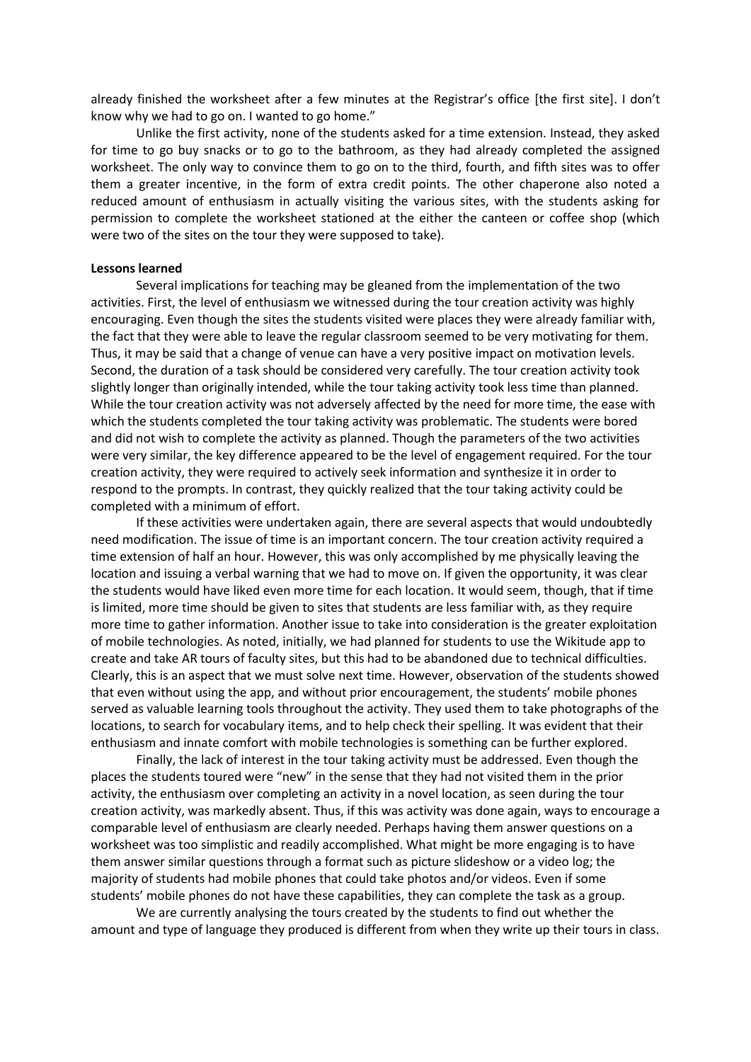already finished the worksheet after a few minutes at the Registrar's office [the first site]. I don't know why we had to go on. I wanted to go home."

Unlike the first activity, none of the students asked for a time extension. Instead, they asked for time to go buy snacks or to go to the bathroom, as they had already completed the assigned worksheet. The only way to convince them to go on to the third, fourth, and fifth sites was to offer them a greater incentive, in the form of extra credit points. The other chaperone also noted a reduced amount of enthusiasm in actually visiting the various sites, with the students asking for permission to complete the worksheet stationed at the either the canteen or coffee shop (which were two of the sites on the tour they were supposed to take).

#### **Lessons learned**

Several implications for teaching may be gleaned from the implementation of the two activities. First, the level of enthusiasm we witnessed during the tour creation activity was highly encouraging. Even though the sites the students visited were places they were already familiar with, the fact that they were able to leave the regular classroom seemed to be very motivating for them. Thus, it may be said that a change of venue can have a very positive impact on motivation levels. Second, the duration of a task should be considered very carefully. The tour creation activity took slightly longer than originally intended, while the tour taking activity took less time than planned. While the tour creation activity was not adversely affected by the need for more time, the ease with which the students completed the tour taking activity was problematic. The students were bored and did not wish to complete the activity as planned. Though the parameters of the two activities were very similar, the key difference appeared to be the level of engagement required. For the tour creation activity, they were required to actively seek information and synthesize it in order to respond to the prompts. In contrast, they quickly realized that the tour taking activity could be completed with a minimum of effort.

If these activities were undertaken again, there are several aspects that would undoubtedly need modification. The issue of time is an important concern. The tour creation activity required a time extension of half an hour. However, this was only accomplished by me physically leaving the location and issuing a verbal warning that we had to move on. If given the opportunity, it was clear the students would have liked even more time for each location. It would seem, though, that if time is limited, more time should be given to sites that students are less familiar with, as they require more time to gather information. Another issue to take into consideration is the greater exploitation of mobile technologies. As noted, initially, we had planned for students to use the Wikitude app to create and take AR tours of faculty sites, but this had to be abandoned due to technical difficulties. Clearly, this is an aspect that we must solve next time. However, observation of the students showed that even without using the app, and without prior encouragement, the students' mobile phones served as valuable learning tools throughout the activity. They used them to take photographs of the locations, to search for vocabulary items, and to help check their spelling. It was evident that their enthusiasm and innate comfort with mobile technologies is something can be further explored.

Finally, the lack of interest in the tour taking activity must be addressed. Even though the places the students toured were "new" in the sense that they had not visited them in the prior activity, the enthusiasm over completing an activity in a novel location, as seen during the tour creation activity, was markedly absent. Thus, if this was activity was done again, ways to encourage a comparable level of enthusiasm are clearly needed. Perhaps having them answer questions on a worksheet was too simplistic and readily accomplished. What might be more engaging is to have them answer similar questions through a format such as picture slideshow or a video log; the majority of students had mobile phones that could take photos and/or videos. Even if some students' mobile phones do not have these capabilities, they can complete the task as a group.

We are currently analysing the tours created by the students to find out whether the amount and type of language they produced is different from when they write up their tours in class.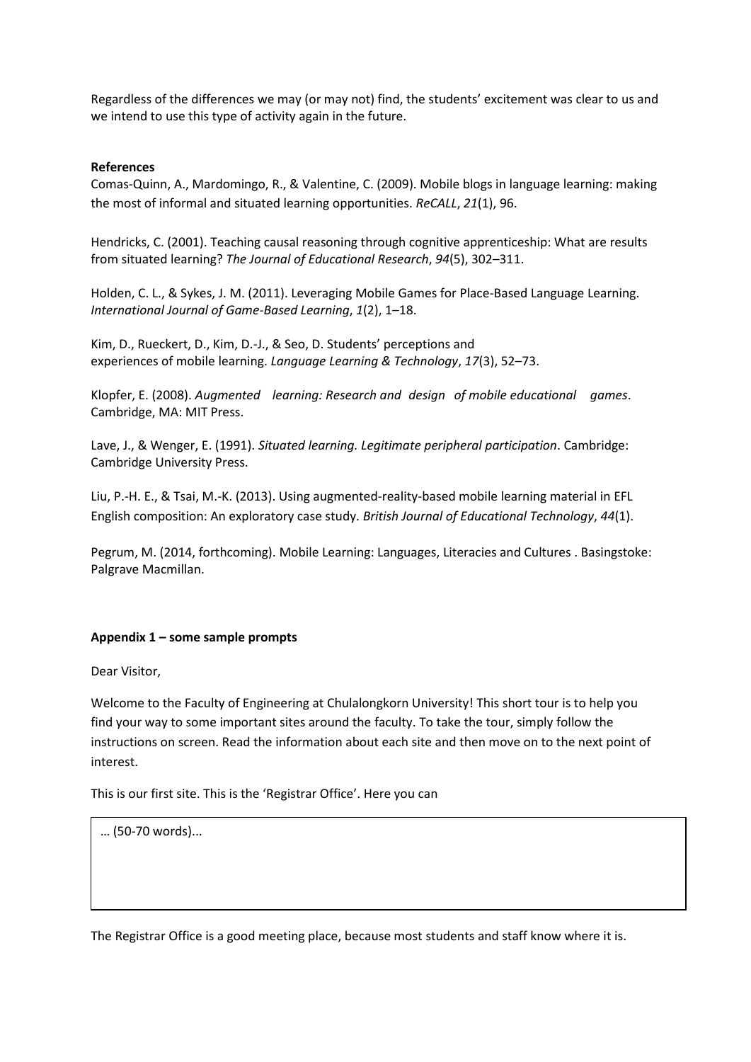Regardless of the differences we may (or may not) find, the students' excitement was clear to us and we intend to use this type of activity again in the future.

# **References**

Comas-Quinn, A., Mardomingo, R., & Valentine, C. (2009). Mobile blogs in language learning: making the most of informal and situated learning opportunities. *ReCALL*, *21*(1), 96.

Hendricks, C. (2001). Teaching causal reasoning through cognitive apprenticeship: What are results from situated learning? *The Journal of Educational Research*, *94*(5), 302–311.

Holden, C. L., & Sykes, J. M. (2011). Leveraging Mobile Games for Place-Based Language Learning. *International Journal of Game-Based Learning*, *1*(2), 1–18.

Kim, D., Rueckert, D., Kim, D.-J., & Seo, D. Students' perceptions and experiences of mobile learning. *Language Learning & Technology*, *17*(3), 52–73.

Klopfer, E. (2008). *Augmented learning: Research and design of mobile educational games*. Cambridge, MA: MIT Press.

Lave, J., & Wenger, E. (1991). *Situated learning. Legitimate peripheral participation*. Cambridge: Cambridge University Press.

Liu, P.-H. E., & Tsai, M.-K. (2013). Using augmented-reality-based mobile learning material in EFL English composition: An exploratory case study. *British Journal of Educational Technology*, *44*(1).

Pegrum, M. (2014, forthcoming). Mobile Learning: Languages, Literacies and Cultures . Basingstoke: Palgrave Macmillan.

## **Appendix 1 – some sample prompts**

Dear Visitor,

Welcome to the Faculty of Engineering at Chulalongkorn University! This short tour is to help you find your way to some important sites around the faculty. To take the tour, simply follow the instructions on screen. Read the information about each site and then move on to the next point of interest.

This is our first site. This is the 'Registrar Office'. Here you can

… (50-70 words)...

The Registrar Office is a good meeting place, because most students and staff know where it is.